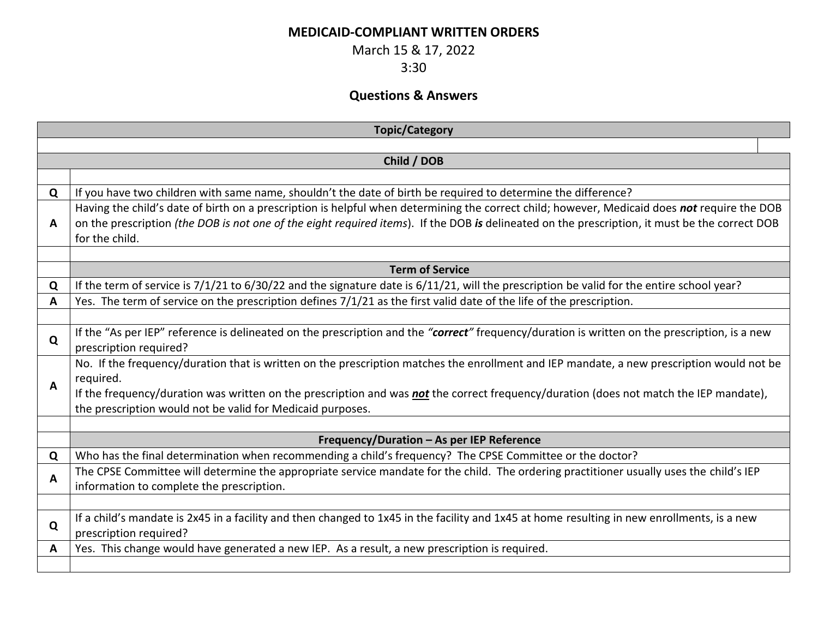## **MEDICAID-COMPLIANT WRITTEN ORDERS**

March 15 & 17, 2022

3:30

## **Questions & Answers**

| <b>Topic/Category</b> |                                                                                                                                                                                                      |  |
|-----------------------|------------------------------------------------------------------------------------------------------------------------------------------------------------------------------------------------------|--|
|                       |                                                                                                                                                                                                      |  |
| Child / DOB           |                                                                                                                                                                                                      |  |
|                       |                                                                                                                                                                                                      |  |
| Q                     | If you have two children with same name, shouldn't the date of birth be required to determine the difference?                                                                                        |  |
|                       | Having the child's date of birth on a prescription is helpful when determining the correct child; however, Medicaid does not require the DOB                                                         |  |
| A                     | on the prescription (the DOB is not one of the eight required items). If the DOB is delineated on the prescription, it must be the correct DOB<br>for the child.                                     |  |
|                       |                                                                                                                                                                                                      |  |
|                       | <b>Term of Service</b>                                                                                                                                                                               |  |
| Q                     | If the term of service is 7/1/21 to 6/30/22 and the signature date is 6/11/21, will the prescription be valid for the entire school year?                                                            |  |
| A                     | Yes. The term of service on the prescription defines 7/1/21 as the first valid date of the life of the prescription.                                                                                 |  |
|                       |                                                                                                                                                                                                      |  |
| Q                     | If the "As per IEP" reference is delineated on the prescription and the "correct" frequency/duration is written on the prescription, is a new<br>prescription required?                              |  |
|                       | No. If the frequency/duration that is written on the prescription matches the enrollment and IEP mandate, a new prescription would not be                                                            |  |
| A                     | required.                                                                                                                                                                                            |  |
|                       | If the frequency/duration was written on the prescription and was not the correct frequency/duration (does not match the IEP mandate),<br>the prescription would not be valid for Medicaid purposes. |  |
|                       |                                                                                                                                                                                                      |  |
|                       | Frequency/Duration - As per IEP Reference                                                                                                                                                            |  |
| Q                     | Who has the final determination when recommending a child's frequency? The CPSE Committee or the doctor?                                                                                             |  |
| A                     | The CPSE Committee will determine the appropriate service mandate for the child. The ordering practitioner usually uses the child's IEP                                                              |  |
|                       | information to complete the prescription.                                                                                                                                                            |  |
|                       |                                                                                                                                                                                                      |  |
| Q                     | If a child's mandate is 2x45 in a facility and then changed to 1x45 in the facility and 1x45 at home resulting in new enrollments, is a new<br>prescription required?                                |  |
| A                     | Yes. This change would have generated a new IEP. As a result, a new prescription is required.                                                                                                        |  |
|                       |                                                                                                                                                                                                      |  |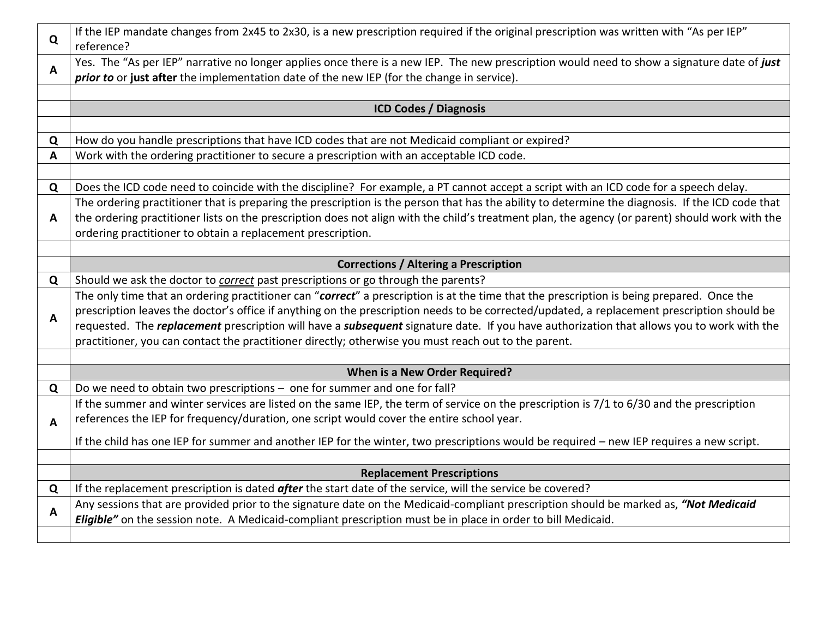| Q | If the IEP mandate changes from 2x45 to 2x30, is a new prescription required if the original prescription was written with "As per IEP"<br>reference?                                                                                                           |
|---|-----------------------------------------------------------------------------------------------------------------------------------------------------------------------------------------------------------------------------------------------------------------|
| A | Yes. The "As per IEP" narrative no longer applies once there is a new IEP. The new prescription would need to show a signature date of just<br>prior to or just after the implementation date of the new IEP (for the change in service).                       |
|   |                                                                                                                                                                                                                                                                 |
|   | <b>ICD Codes / Diagnosis</b>                                                                                                                                                                                                                                    |
|   |                                                                                                                                                                                                                                                                 |
| Q | How do you handle prescriptions that have ICD codes that are not Medicaid compliant or expired?                                                                                                                                                                 |
| A | Work with the ordering practitioner to secure a prescription with an acceptable ICD code.                                                                                                                                                                       |
|   |                                                                                                                                                                                                                                                                 |
| Q | Does the ICD code need to coincide with the discipline? For example, a PT cannot accept a script with an ICD code for a speech delay.                                                                                                                           |
|   | The ordering practitioner that is preparing the prescription is the person that has the ability to determine the diagnosis. If the ICD code that                                                                                                                |
| A | the ordering practitioner lists on the prescription does not align with the child's treatment plan, the agency (or parent) should work with the                                                                                                                 |
|   | ordering practitioner to obtain a replacement prescription.                                                                                                                                                                                                     |
|   |                                                                                                                                                                                                                                                                 |
|   | <b>Corrections / Altering a Prescription</b>                                                                                                                                                                                                                    |
| Q | Should we ask the doctor to correct past prescriptions or go through the parents?                                                                                                                                                                               |
| A | The only time that an ordering practitioner can "correct" a prescription is at the time that the prescription is being prepared. Once the                                                                                                                       |
|   | prescription leaves the doctor's office if anything on the prescription needs to be corrected/updated, a replacement prescription should be                                                                                                                     |
|   | requested. The <i>replacement</i> prescription will have a <i>subsequent</i> signature date. If you have authorization that allows you to work with the<br>practitioner, you can contact the practitioner directly; otherwise you must reach out to the parent. |
|   |                                                                                                                                                                                                                                                                 |
|   | When is a New Order Required?                                                                                                                                                                                                                                   |
| Q | Do we need to obtain two prescriptions - one for summer and one for fall?                                                                                                                                                                                       |
|   | If the summer and winter services are listed on the same IEP, the term of service on the prescription is 7/1 to 6/30 and the prescription                                                                                                                       |
| A | references the IEP for frequency/duration, one script would cover the entire school year.                                                                                                                                                                       |
|   |                                                                                                                                                                                                                                                                 |
|   | If the child has one IEP for summer and another IEP for the winter, two prescriptions would be required - new IEP requires a new script.                                                                                                                        |
|   |                                                                                                                                                                                                                                                                 |
| Q | <b>Replacement Prescriptions</b><br>If the replacement prescription is dated after the start date of the service, will the service be covered?                                                                                                                  |
|   | Any sessions that are provided prior to the signature date on the Medicaid-compliant prescription should be marked as, "Not Medicaid                                                                                                                            |
| A | Eligible" on the session note. A Medicaid-compliant prescription must be in place in order to bill Medicaid.                                                                                                                                                    |
|   |                                                                                                                                                                                                                                                                 |